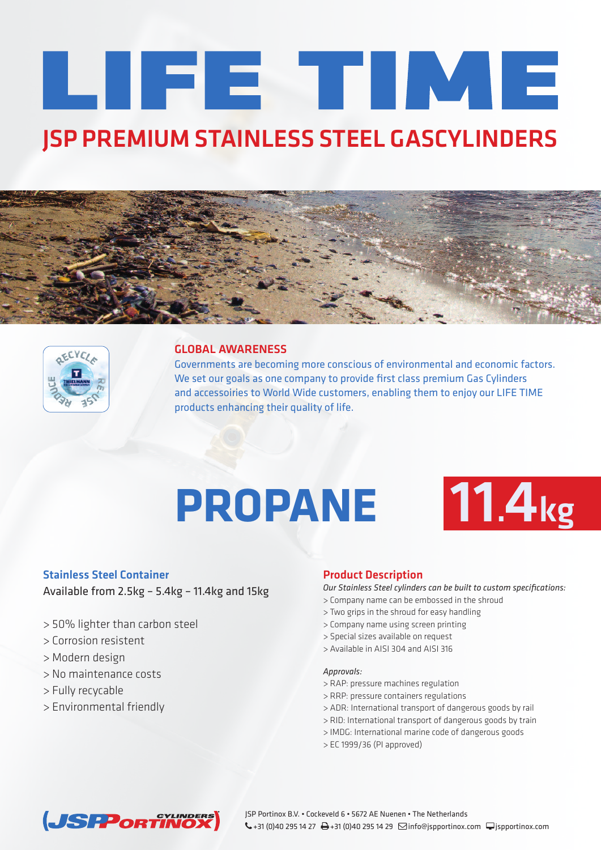# LIFE TIME **JSP PREMIUM STAINLESS STEEL GASCYLINDERS**





### **GLOBAL AWARENESS**

Governments are becoming more conscious of environmental and economic factors. We set our goals as one company to provide first class premium Gas Cylinders and accessoiries to World Wide customers, enabling them to enjoy our LIFE TIME products enhancing their quality of life.

## **PROPANE 11.4kg**



#### **Stainless Steel Container**

Available from 2.5kg – 5.4kg – 11.4kg and 15kg

- > 50% lighter than carbon steel
- > Corrosion resistent
- > Modern design
- > No maintenance costs
- > Fully recycable
- > Environmental friendly

#### **Product Description**

*Our Stainless Steel cylinders can be built to custom specifications:*

- > Company name can be embossed in the shroud
- > Two grips in the shroud for easy handling
- > Company name using screen printing
- > Special sizes available on request
- > Available in AISI 304 and AISI 316

#### *Approvals:*

- > RAP: pressure machines regulation
- > RRP: pressure containers regulations
- > ADR: International transport of dangerous goods by rail
- > RID: International transport of dangerous goods by train
- > IMDG: International marine code of dangerous goods
- > EC 1999/36 (PI approved)